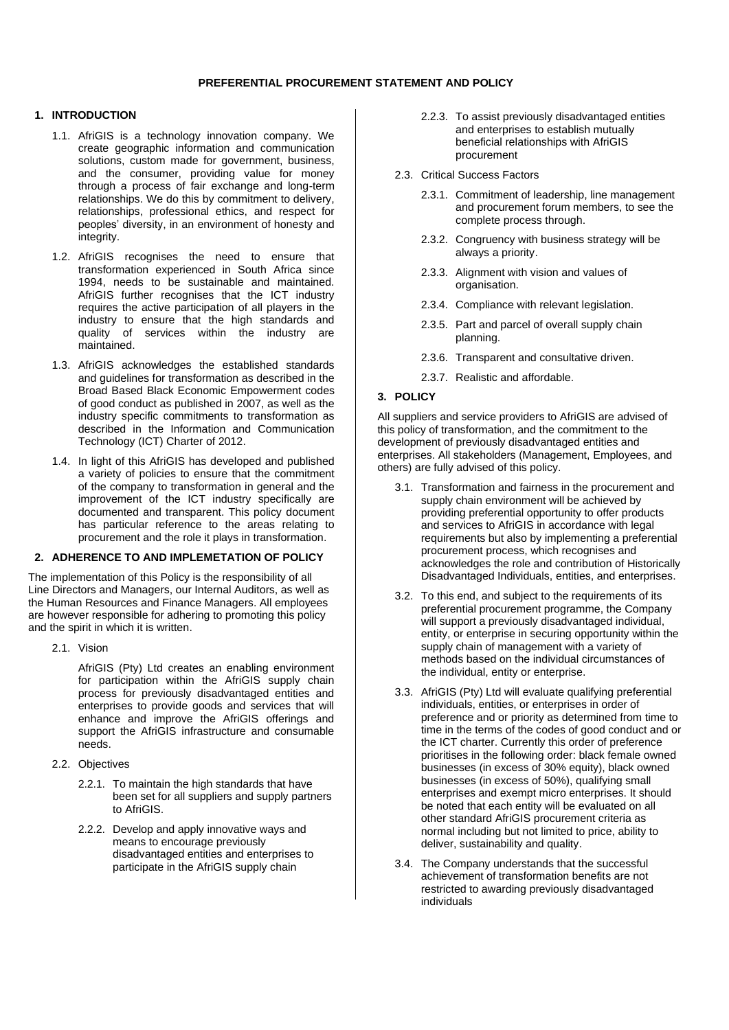## **PREFERENTIAL PROCUREMENT STATEMENT AND POLICY**

## **1. INTRODUCTION**

- 1.1. AfriGIS is a technology innovation company. We create geographic information and communication solutions, custom made for government, business, and the consumer, providing value for money through a process of fair exchange and long-term relationships. We do this by commitment to delivery, relationships, professional ethics, and respect for peoples' diversity, in an environment of honesty and integrity.
- 1.2. AfriGIS recognises the need to ensure that transformation experienced in South Africa since 1994, needs to be sustainable and maintained. AfriGIS further recognises that the ICT industry requires the active participation of all players in the industry to ensure that the high standards and quality of services within the industry are maintained.
- 1.3. AfriGIS acknowledges the established standards and guidelines for transformation as described in the Broad Based Black Economic Empowerment codes of good conduct as published in 2007, as well as the industry specific commitments to transformation as described in the Information and Communication Technology (ICT) Charter of 2012.
- 1.4. In light of this AfriGIS has developed and published a variety of policies to ensure that the commitment of the company to transformation in general and the improvement of the ICT industry specifically are documented and transparent. This policy document has particular reference to the areas relating to procurement and the role it plays in transformation.

### **2. ADHERENCE TO AND IMPLEMETATION OF POLICY**

The implementation of this Policy is the responsibility of all Line Directors and Managers, our Internal Auditors, as well as the Human Resources and Finance Managers. All employees are however responsible for adhering to promoting this policy and the spirit in which it is written.

2.1. Vision

AfriGIS (Pty) Ltd creates an enabling environment for participation within the AfriGIS supply chain process for previously disadvantaged entities and enterprises to provide goods and services that will enhance and improve the AfriGIS offerings and support the AfriGIS infrastructure and consumable needs.

- 2.2. Objectives
	- 2.2.1. To maintain the high standards that have been set for all suppliers and supply partners to AfriGIS.
	- 2.2.2. Develop and apply innovative ways and means to encourage previously disadvantaged entities and enterprises to participate in the AfriGIS supply chain
- 2.2.3. To assist previously disadvantaged entities and enterprises to establish mutually beneficial relationships with AfriGIS procurement
- 2.3. Critical Success Factors
	- 2.3.1. Commitment of leadership, line management and procurement forum members, to see the complete process through.
	- 2.3.2. Congruency with business strategy will be always a priority.
	- 2.3.3. Alignment with vision and values of organisation.
	- 2.3.4. Compliance with relevant legislation.
	- 2.3.5. Part and parcel of overall supply chain planning.
	- 2.3.6. Transparent and consultative driven.
	- 2.3.7. Realistic and affordable.

# **3. POLICY**

All suppliers and service providers to AfriGIS are advised of this policy of transformation, and the commitment to the development of previously disadvantaged entities and enterprises. All stakeholders (Management, Employees, and others) are fully advised of this policy.

- 3.1. Transformation and fairness in the procurement and supply chain environment will be achieved by providing preferential opportunity to offer products and services to AfriGIS in accordance with legal requirements but also by implementing a preferential procurement process, which recognises and acknowledges the role and contribution of Historically Disadvantaged Individuals, entities, and enterprises.
- 3.2. To this end, and subject to the requirements of its preferential procurement programme, the Company will support a previously disadvantaged individual, entity, or enterprise in securing opportunity within the supply chain of management with a variety of methods based on the individual circumstances of the individual, entity or enterprise.
- 3.3. AfriGIS (Pty) Ltd will evaluate qualifying preferential individuals, entities, or enterprises in order of preference and or priority as determined from time to time in the terms of the codes of good conduct and or the ICT charter. Currently this order of preference prioritises in the following order: black female owned businesses (in excess of 30% equity), black owned businesses (in excess of 50%), qualifying small enterprises and exempt micro enterprises. It should be noted that each entity will be evaluated on all other standard AfriGIS procurement criteria as normal including but not limited to price, ability to deliver, sustainability and quality.
- 3.4. The Company understands that the successful achievement of transformation benefits are not restricted to awarding previously disadvantaged individuals